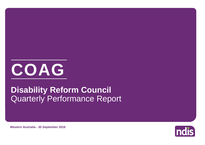

# Quarterly Performance Report **Disability Reform Council**

**Western Australia - 30 September 2018**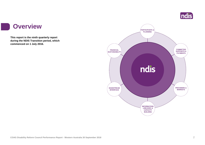

### **Overview**

a s

**This report is the ninth quarterly report during the NDIS Transition period, which commenced on 1 July 2016.**

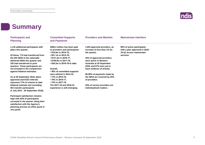

## **Summary**

**Participant satisfaction remains high with 83% of participants surveyed in the quarter rating their satisfaction with the Agency's planning process as either good or** 

**very good.**

| <b>Participants and</b><br><b>Planning</b>                                                                                                                                                              | <b>Committed Supports</b><br>and Payments                                                                                          | <b>Providers and Markets</b>                                                                                                                | <b>Mainstream Interface</b>                                                            |
|---------------------------------------------------------------------------------------------------------------------------------------------------------------------------------------------------------|------------------------------------------------------------------------------------------------------------------------------------|---------------------------------------------------------------------------------------------------------------------------------------------|----------------------------------------------------------------------------------------|
| 1,116 additional participants with<br>plans this quarter.                                                                                                                                               | \$389.2 million has been paid<br>to providers and participants:<br>$\cdot$ \$10.9m in 2014-15,                                     | 1,053 approved providers, an<br>increase of less than 1% for<br>the quarter.                                                                | 90% of active participants<br>with a plan approved in 2018-<br>19 Q1 access mainstream |
| Of these, 774 had transferred from                                                                                                                                                                      | $\cdot$ \$51.1m in 2015-16,                                                                                                        |                                                                                                                                             | services.                                                                              |
| the WA NDIS to the nationally<br>delivered NDIS this quarter and<br>192 had transferred in prior<br>quarters. These participants are<br>not included in the comparision<br>against bilateral estimates. | $\cdot$ \$131.2m in 2016-17,<br>• \$159.9m in 2017-18,<br>• \$36.2m in 2018-19 to date.<br>Overall,<br>• 58% of committed supports | 33% of approved providers<br>were active in Western<br>Australia at 30 September<br>2018, and 67% were yet to<br>have evidence of activity. |                                                                                        |
|                                                                                                                                                                                                         | were utilised in 2014-15,                                                                                                          | 80-95% of payments made by                                                                                                                  |                                                                                        |
| As at 30 September 2018, plans<br>approved and ECEI referrals<br>represent 77% of scheme to date                                                                                                        | • 73% in 2015-16,<br>• 78% in 2016-17.<br>$\cdot$ 74% in 2017-18.                                                                  | the NDIA are received by 25%<br>of providers.                                                                                               |                                                                                        |
| bilateral estimate met excluding<br>WA transfer participants<br>(1 July 2014 - 30 September 2018).                                                                                                      | The 2017-18 and 2018-19<br>experience is still emerging.                                                                           | 20% of service providers are<br>individual/sole traders.                                                                                    |                                                                                        |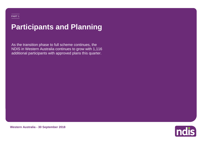# **Participants and Planning**

As the transition phase to full scheme continues, the NDIS in Western Australia continues to grow with 1,116 additional participants with approved plans this quarter.



**Western Australia - 30 September 2018**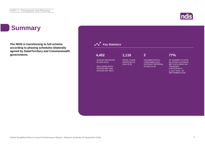## **Summary**

**The NDIS is transitioning to full-scheme according to phasing schedules bilaterally agreed by State/Territory and Commonwealth governments.**



**ndis**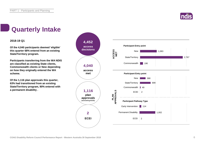

## **Quarterly Intake**

### **2018-19 Q1**

**Of the 4,040 participants deemed 'eligible' this quarter 68% entered from an existing State/Territory program.**

**Participants transferring from the WA NDIS are classified as existing State clients, Commonwealth clients or New depending on how they originally entered the WA scheme.**

**Of the 1,116 plan approvals this quarter, 63% had transitioned from an existing State/Territory program, 90% entered with a permanent disability .**

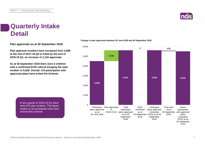

## **Quarterly Intake Detail**

**Plan approvals as at 30 September 2018**

**Plan approval numbers have increased from 4,508 at the end of 2017-18 Q4 to 5,624 by the end of 2018-19 Q1, an increase of 1,116 approvals.**

**As at 30 September 2018 there were 2 children with a confirmed ECEI referral bringing the total number to 5,626. Overall, 110 participants with approved plans have exited the Scheme.**

> In the quarter of 2018-19 Q1 there were 876 plan reviews. This figure relates to all participants who have entered the scheme.



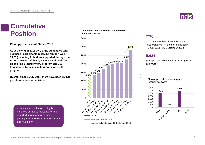

## **Cumulative Position**

**Plan approvals as at 30 Sep 2018**

**As at the end of 2018-19 Q1, the cumulative total number of participants receiving support was 5,626 (including 2 children supported through the ECEI gateway). Of these, 2,500 transitioned from an existing State/Territory program and 166 transitioned from an existing Commonwealth program.**

**Overall, since 1 July 2014, there have been 15,378 people with access decisions.**

**Cumulative plan approvals compared with bilateral estimate**



### **77%**

of scheme to date bilateral estimate met excluding WA transfer participants (1 July 2014 - 30 September 2018)

### **5,624**

plan approvals to date; 5,626 including ECEI confirmed

### **Plan approvals by participant referral pathway**



Cumulative position reporting is inclusive of trial participants for the reported period and represents participants who have or have had an approved plan.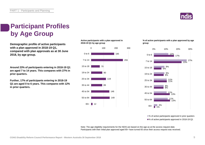

## **Participant Profiles by Age Group**

**Demographic profile of active participants** 2018-19 Q1 by age group **with a plan approved in 2018-19 Q1, compared with plan approvals as at 30 June 2018, by age group.**

**Around 23% of participants entering in 2018-19 Q1 are aged 7 to 14 years. This compares with 27% in prior quarters.**

**Further, 17% of participants entering in 2018-19 Q1 are aged 0 to 6 years. This compares with 12% in prior quarters.**

### **Active participants with a plan approved in 2018-19 Q1 by age group**



**% of active participants with a plan approved by age** 



■% of active participants approved in prior quarters ■% of active participants approved in 2018-19 Q1

Note: The age eligibility requirements for the NDIS are based on the age as at the access request date. Participants with their initial plan approved aged 65+ have turned 65 since their access request was received.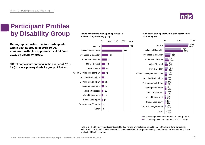

## **Participant Profiles by Disability Group**

**Demographic profile of active participants with a plan approved in 2018-19 Q1, compared with plan approvals as at 30 June 2018, by disability group.**

**33% of participants entering in the quarter of 2018- 19 Q1 have a primary disability group of Autism.**

### **Active participants with a plan approved in 2018-19 Q1 by disability group**



#### **% of active participants with a plan approved by disability group**



<sup>■%</sup> of active participants approved in prior quarters ■% of active participants approved in 2018-19 Q1

Note 1: Of the 284 active participants identified as having an intellectual disability, 27 (10%), have down syndrome. Note 2: Since 2017-18 Q1 Developmental Delay and Global Developmental Delay have been reported separately to the Intellectual Disability group.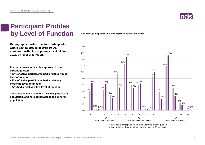

## **Participant Profiles by Level of Function**

**Demographic profile of active participants with a plan approved in 2018-19 Q1, compared with plan approvals as at 30 June 2018, by level of function.**

**For participants with a plan approval in the current quarter:** 

**• 28% of active participants had a relatively high level of function**

**• 45% of active participants had a relatively moderate level of function** 

**• 27% had a relatively low level of function**

**These relativities are within the NDIS participant population, and not comparable to the general population.**

**% of active participants with a plan approved by level of function**



■% of active participants with a plan approved in 2018-19 Q1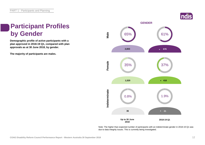## **Participant Profiles by Gender**

**Demographic profile of active participants with a plan approved in 2018-19 Q1, compared with plan approvals as at 30 June 2018, by gender.**

**The majority of participants are males.**



Note: The higher than expected number of participants with an indeterminate gender in 2018-19 Q1 was due to data integrity issues. This is currently being investigated.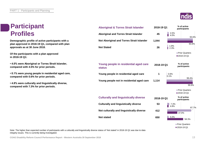## **Participant Profiles**

**Demographic profile of active participants with a plan approved in 2018-19 Q1, compared with plan approvals as at 30 June 2018.**

**Of the participants with a plan approved in 2018-19 Q1:**

**• 4.0% were Aboriginal or Torres Strait Islander, compared with 4.5% for prior periods.**

**• 0.1% were young people in residential aged care, compared with 0.6% for prior periods.**

**• 4.8% were culturally and linguistically diverse, compared with 7.3% for prior periods.**

| <b>Aboriginal and Torres Strait Islander</b>           | 45         | 4.5%<br>4.0% |
|--------------------------------------------------------|------------|--------------|
| Not Aboriginal and Torres Strait Islander              | 1,044      |              |
| <b>Not Stated</b>                                      | 26         | 1.9%<br>2.3% |
|                                                        |            |              |
| Young people in residential aged care<br><b>status</b> | 2018-19 Q1 |              |
| Young people in residential aged care                  | 1          | 0.6%<br>0.1% |
| Young people not in residential aged care              | 1,114      |              |
|                                                        |            |              |
| <b>Culturally and linguistically diverse</b>           | 2018-19 Q1 |              |
| <b>Culturally and linguistically diverse</b>           | 53         | 7.3%<br>4.8% |
| Not culturally and linguistically diverse              | 412        |              |
| <b>Not stated</b>                                      | 650        | 5.0%         |

**Aboriginal & Torres Strait Islander** 



**participants**

**2018-19 Q1 % of active** 

**Prior Quarters** 2018-19 Q1

**2018-19 Q1 % of active participants**

93.6%

93.6%

99.4%

 $99.9%$ 



Note: The higher than expected number of participants with a culturally and linguistically diverse status of 'Not stated' in 2018-19 Q1 was due to data integrity issues. This is currently being investigated.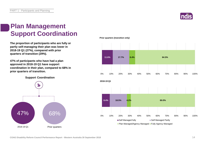

## **Plan Management Support Coordination**

**The proportion of participants who are fully or partly self-managing their plan was lower in 2018-19 Q1 (27%), compared with prior quarters of transition (29%).** 

**47% of participants who have had a plan approved in 2018-19 Q1 have support coordination in their plan, compared to 68% in prior quarters of transition.**

**Support Coordination**



**Prior quarters (transition only)**

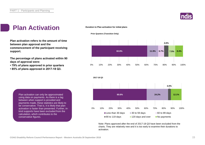

## **Plan Activation**

**Plan activation refers to the amount of time between plan approval and the commencement of the participant receiving support.**

**The percentage of plans activated within 90 days of approval were:** 

- **79% of plans approved in prior quarters**
- **85% of plans approved in 2017-18 Q3.**

### **Duration to Plan activation for initial plans**

**Prior Quarters (Transition Only)**

**2017-18 Q3**





Note: Plans approved after the end of 2017-18 Q3 have been excluded from the charts. They are relatively new and it is too early to examine their durations to activation.

Plan activation can only be approximated using data on payments. As there is a lag between when support is provided and payments made, these statistics are likely to be conservative. That is, it is likely that plan activation is faster than presented. Further, inkind supports have been excluded from the calculation, which contributes to the conservative figures.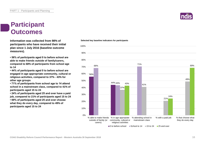## **Participant Outcomes**

**Selected key baseline indicators for participants Information was collected from 98% of participants who have received their initial plan since 1 July 2016 (baseline outcome measures).**

**• 56% of participants aged 0 to before school are able to make friends outside of family/carers, compared to 68% of participants from school age to 14**

**• 44% of participants aged 0 to before school are engaged in age appropriate community, cultural or religious activities, compared to 37% - 43% for other age groups**

**• 71% of participants from school age to 14 attend school in a mainstream class, compared to 41% of participants aged 15 to 24**

**• 24% of participants aged 25 and over have a paid job, compared to 21% of participants aged 15 to 24 • 69% of participants aged 25 and over choose what they do every day, compared to 49% of participants aged 15 to 24**



 $\Box$ 0 to before school  $\Box$  School to 14  $\Box$  15 to 24  $\Box$  25 and over

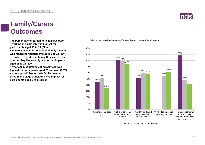## **Family/Carers Outcomes**

**The percentage of participants' family/carers:**

**• working in a paid job was highest for participants aged 15 to 24 (52%)**

**• able to advocate for their child/family member was highest for participants aged 0 to 14 (81%)**

**• who have friends and family they can see as often as they like was highest for participants aged 15 to 24 (60%)**

**• who feel in control selecting services was highest for participants aged 25 and over (62%) • who support/plan for their family member through life stage transitions was highest for participants aged 0 to 14 (88%)**

### **Selected key baseline indicators for families and carers of participants**



#### $\Box$  0 to 14  $\Box$  15 to 24  $\Box$  25 and over

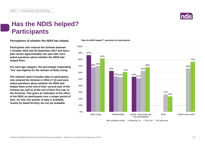

## **Has the NDIS helped? Participants**

**Perceptions of whether the NDIS has helped.**

**Participants who entered the Scheme between 1 October 2016 and 30 September 2017 and had a plan review approximately one year later were asked questions about whether the NDIS had helped them.**

**For each age category, the percentage responding 'Yes' was highest for the domain of Daily Living.**

**The national report includes data on participants who entered the Scheme in 2016-17 Q1 and were asked questions about whether the NDIS had helped them at the end of their second year of the Scheme (as well as at the end of their first year in the Scheme). This gives an indication of the effect of the NDIS on participants over a longer period of time. As only one quarter of data is available, results by State/Territory are not yet available.**

### **"Has the NDIS helped?" questions for participants**

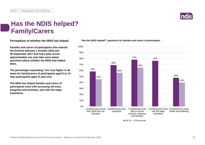## **Has the NDIS helped? Family/Carers**

**Perceptions of whether the NDIS has helped.**

**Families and carers of participants who entered the Scheme between 1 October 2016 and 30 September 2017 and had a plan review approximately one year later were asked questions about whether the NDIS had helped them.**

**The percentage responding 'Yes' was higher in all areas for family/carers of participants aged 0 to 14 than participants aged 15 and over.**

**The NDIS has helped families and carers of participants most with accessing services, programs and activities, and with life stage transitions.**

### **"Has the NDIS helped?" questions for families and carers of participants**



 $\blacksquare$ 0 to 14  $\blacksquare$  15 and over

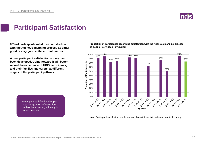

## **Participant Satisfaction**

**83% of participants rated their satisfaction with the Agency's planning process as either good or very good in the current quarter.** 

**A new participant satisfaction survey has been developed. Going forward it will better record the experience of NDIS participants, and their families and carers, at different stages of the participant pathway.**

**Proportion of participants describing satisfaction with the Agency's planning process as good or very good - by quarter**



Participant satisfaction dropped in earlier quarters of transition, but has improved significantly in recent quarters.

Note: Participant satisfaction results are not shown if there is insufficient data in the group.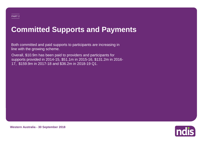## **Committed Supports and Payments**

Both committed and paid supports to participants are increasing in line with the growing scheme.

Overall, \$10.9m has been paid to providers and participants for supports provided in 2014-15, \$51.1m in 2015-16, \$131.2m in 2016- 17, \$159.9m in 2017-18 and \$36.2m in 2018-19 Q1.



**Western Australia - 30 September 2018**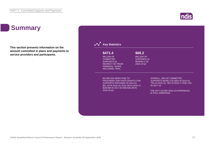## **Summary**

**This section presents information on the amount committed in plans and payments to service providers and participants.**



**Indis**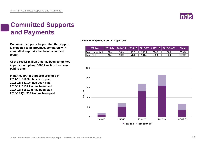

## **Committed Supports and Payments**

**Committed supports by year that the support is expected to be provided, compared with committed supports that have been used (paid).**

**Of the \$539.5 million that has been committed in participant plans, \$389.2 million has been paid to date.**

**In particular, for supports provided in: 2014-15: \$10.9m has been paid 2015-16: \$51.1m has been paid 2016-17: \$131.2m has been paid 2017-18: \$159.9m has been paid 2018-19 Q1: \$36.2m has been paid**

**Committed and paid by expected support year**

| <b>SMillion</b>  |     |      |      |       |       | 2013-14 2014-15 2015-16 2016-17 2017-18 2018-19 Q1 | Total' |
|------------------|-----|------|------|-------|-------|----------------------------------------------------|--------|
| 'Total committed | N/A | 18.9 | 69.6 | 168.1 | 214.9 | 68.2                                               | 539.5  |
| 'Total paid      | N/A | 10.9 | 51.1 | 131.2 | 159.9 | 36.2                                               | 389.2  |

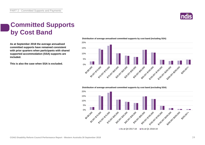

## **Committed Supports by Cost Band**

**As at September 2018 the average annualised committed supports have remained consistent with prior quarters when participants with shared supported accommodation (SSA) supports are included.**

**This is also the case when SSA is excluded.**



**Distribution of average annualised committed supports by cost band (including SSA)** 

**Distribution of average annualised committed supports by cost band (excluding SSA)** 

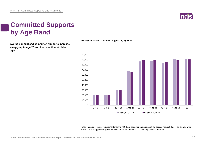

## **Committed Supports by Age Band**

**Average annualised committed supports increase steeply up to age 25 and then stabilise at older ages.**

**Average annualised committed supports by age band**



Note: The age eligibility requirements for the NDIS are based on the age as at the access request date. Participants with their initial plan approved aged 65+ have turned 65 since their access request was received.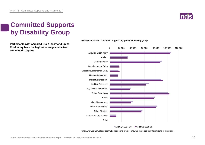

## **Committed Supports by Disability Group**

**Participants with Acquired Brain Injury and Spinal Cord Injury have the highest average annualised committed supports.**



#### **Average annualised committed supports by primary disability group**

As at Q4 2017-18 As at Q1 2018-19

Note: Average annualised committed supports are not shown if there are insufficient data in the group.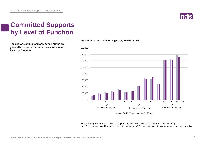PART 2 - Committed Supports and Payments

### **Committed Supports by Level of Function**

**The average annualised committed supports generally increase for participants with lower levels of function.**

### 0 20,000 40,000 60,000 80,000 100,000 120,000 140,000 160,000 1 2 3 4 5 6 7 8 9 10 11 12 13 14 15

**Average annualised committed supports by level of function**

Note 1: Average annualised committed supports are not shown if there are insufficient data in the group. Note 2: High, medium and low function is relative within the NDIS population and not comparable to the general population.

As at Q4 2017-18  $\blacksquare$  As at Q1 2018-19

High level of function<br>
Medium level of function<br>
Medium level of function<br>
Low level of function

High level of function Medium level of function Low level of function

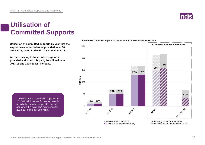## **Utilisation of Committed Supports**

**Utilisation of committed supports by year that the support was expected to be provided as at 30 June 2018, compared with 30 September 2018.** 

**As there is a lag between when support is provided and when it is paid, the utilisation in 2017-18 and 2018-19 will increase.** 

> The utilisation of committed supports in 2017-18 will increase further as there is a lag between when support is provided and when it is paid. The experience for 2018-19 is also still emerging.

#### **Utilisation of committed supports as at 30 June 2018 and 30 September 2018**



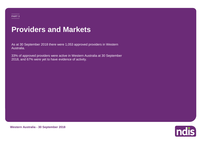### PART 3

## **Providers and Markets**

As at 30 September 2018 there were 1,053 approved providers in Western Australia.

33% of approved providers were active in Western Australia at 30 September 2018, and 67% were yet to have evidence of activity.



**Western Australia - 30 September 2018**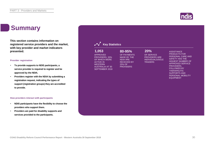## **Summary**

**This section contains information on registered service providers and the market, with key provider and market indicators presented.**

### **Provider registration**

- **To provide supports to NDIS participants, a service provider is required to register and be approved by the NDIA.**
- **Providers register with the NDIA by submitting a registration request, indicating the types of support (registration groups) they are accredited to provide.**

#### **How providers interact with participants**

- **NDIS participants have the flexibility to choose the providers who support them.**
- **Providers are paid for disability supports and services provided to the participants.**

| 1,053<br><b>APPROVED</b><br>PROVIDERS, 33%<br>OF WHICH WERE<br><b>ACTIVE IN</b><br><b>WESTERN</b><br><b>AUSTRALIA AT 30</b><br><b>SEPTEMBER 2018</b> | 80-95%<br>OF PAYMENTS<br><b>MADE BY THE</b><br><b>NDIA ARE</b><br><b>RECEIVED BY</b><br>25% OF<br><b>PROVIDERS</b> | 20%<br>OF SERVICE<br><b>PROVIDERS ARE</b><br><b>INDIVIDUALS/SOLE</b><br><b>TRADERS</b> | <b>ASSISTANCE</b><br><b>PRODUCTS FOR</b><br>PERSONAL CARE AND<br><b>SAFETY HAS THE</b><br><b>HIGHEST NUMBER OF</b><br><b>APPROVED SERVICE</b><br>PROVIDERS.<br><b>FOLLOWED BY</b><br><b>THERAPEUTIC</b><br><b>SUPPORTS AND</b><br>PERSONAL MOBILITY<br><b>EQUIPMENT</b> |
|------------------------------------------------------------------------------------------------------------------------------------------------------|--------------------------------------------------------------------------------------------------------------------|----------------------------------------------------------------------------------------|-------------------------------------------------------------------------------------------------------------------------------------------------------------------------------------------------------------------------------------------------------------------------|
|------------------------------------------------------------------------------------------------------------------------------------------------------|--------------------------------------------------------------------------------------------------------------------|----------------------------------------------------------------------------------------|-------------------------------------------------------------------------------------------------------------------------------------------------------------------------------------------------------------------------------------------------------------------------|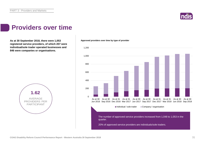

### **Providers over time**

**As at 30 September 2018, there were 1,053 Approved providers over time by type of provider registered service providers, of which 207 were individual/sole trader operated businesses and 846 were companies or organisations.**



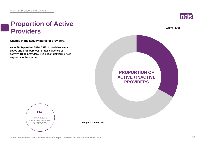

**Active (33%)**

## **Proportion of Active Providers**

**Change in the activity status of providers.**

**As at 30 September 2018, 33% of providers were active and 67% were yet to have evidence of activity. Of all providers, 114 began delivering new supports in the quarter.**





**Not yet active (67%)**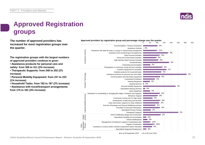

## **Approved Registration groups**

**The number of approved providers has** *Approved providers by registration group and percentage change over the quarter***<br>
100 increased for most registration groups over the quarter.**

**The registration groups with the largest numbers of approved providers continue to grow:**

**• Assistance products for personal care and safety: from 306 to 311 (2% increase)**

**• Therapeutic Supports: from 248 to 252 (2% increase)**

**• Personal Mobility Equipment: from 231 to 233 (1% increase)**

**• Household Tasks: from 182 to 187 (3% increase)**

**• Assistance with travel/transport arrangements: from 175 to 181 (3% increase)**



As at 30 September 2018 As at 30 June 2018

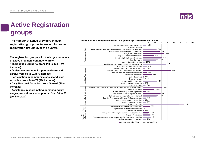## **Active Registration groups**

**The number of active providers in each registration group has increased for some registration groups over the quarter.**

**The registration groups with the largest numbers of active providers continue to grow:**

**• Therapeutic Supports: from 118 to 134 (14% increase)**

**• Assistance products for personal care and safety: from 84 to 91 (8% increase)**

**• Participation in community, social and civic activities: from 74 to 79 (7% increase)**

**• Daily Personal Activities: from 59 to 68 (15% increase)**

**• Assistance in coordinating or managing life stages, transitions and supports: from 58 to 63 (9% increase)**



As at 30 September 2018 As at 30 June 2018

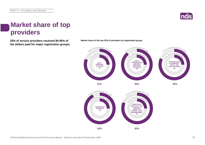

## **Market share of top providers**

**25% of service providers received 80-95% of Market share of the top 25% of providers by registration group. the dollars paid for major registration groups.**



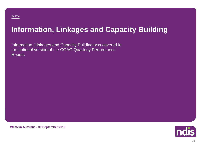# **Information, Linkages and Capacity Building**

Information, Linkages and Capacity Building was covered in the national version of the COAG Quarterly Performance Report.



**Western Australia - 30 September 2018**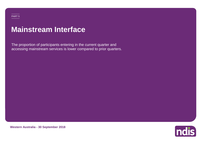# **Mainstream Interface**

The proportion of participants entering in the current quarter and accessing mainstream services is lower compared to prior quarters.



**Western Australia - 30 September 2018**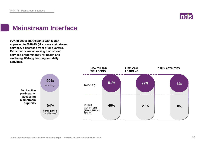

## **Mainstream Interface**

**90% of active participants with a plan approved in 2018-19 Q1 access mainstream services, a decrease from prior quarters. Participants are accessing mainstream services predominantly for health and wellbeing, lifelong learning and daily activities.**